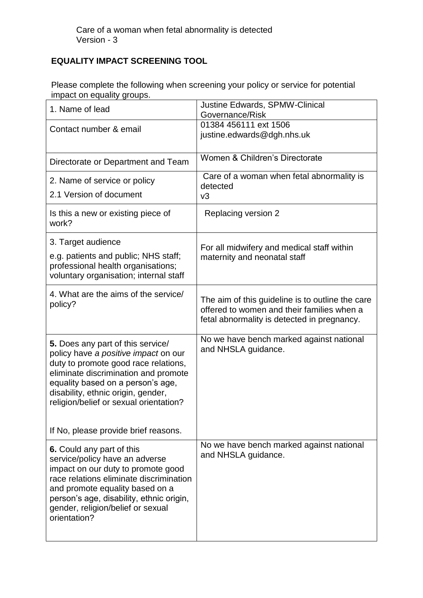## **EQUALITY IMPACT SCREENING TOOL**

Please complete the following when screening your policy or service for potential impact on equality groups.

| 1. Name of lead                                                                                                                                                                                                                                                                                                        | <b>Justine Edwards, SPMW-Clinical</b><br>Governance/Risk                                                                                      |
|------------------------------------------------------------------------------------------------------------------------------------------------------------------------------------------------------------------------------------------------------------------------------------------------------------------------|-----------------------------------------------------------------------------------------------------------------------------------------------|
| Contact number & email                                                                                                                                                                                                                                                                                                 | 01384 456111 ext 1506<br>justine.edwards@dgh.nhs.uk                                                                                           |
| Directorate or Department and Team                                                                                                                                                                                                                                                                                     | Women & Children's Directorate                                                                                                                |
| 2. Name of service or policy<br>2.1 Version of document                                                                                                                                                                                                                                                                | Care of a woman when fetal abnormality is<br>detected<br>v3                                                                                   |
| Is this a new or existing piece of<br>work?                                                                                                                                                                                                                                                                            | Replacing version 2                                                                                                                           |
| 3. Target audience<br>e.g. patients and public; NHS staff;<br>professional health organisations;<br>voluntary organisation; internal staff                                                                                                                                                                             | For all midwifery and medical staff within<br>maternity and neonatal staff                                                                    |
| 4. What are the aims of the service/<br>policy?                                                                                                                                                                                                                                                                        | The aim of this guideline is to outline the care<br>offered to women and their families when a<br>fetal abnormality is detected in pregnancy. |
| 5. Does any part of this service/<br>policy have a positive impact on our<br>duty to promote good race relations,<br>eliminate discrimination and promote<br>equality based on a person's age,<br>disability, ethnic origin, gender,<br>religion/belief or sexual orientation?<br>If No, please provide brief reasons. | No we have bench marked against national<br>and NHSLA guidance.                                                                               |
|                                                                                                                                                                                                                                                                                                                        | No we have bench marked against national                                                                                                      |
| 6. Could any part of this<br>service/policy have an adverse<br>impact on our duty to promote good<br>race relations eliminate discrimination<br>and promote equality based on a<br>person's age, disability, ethnic origin,<br>gender, religion/belief or sexual<br>orientation?                                       | and NHSLA guidance.                                                                                                                           |